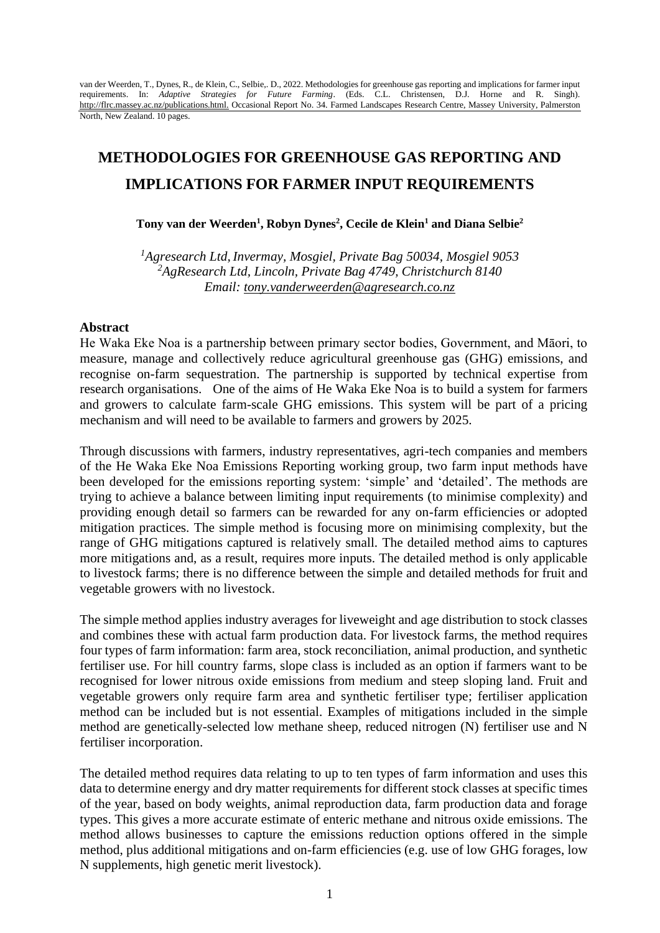van der Weerden, T., Dynes, R., de Klein, C., Selbie,. D., 2022. Methodologies for greenhouse gas reporting and implications for farmer input requirements. In: *Adaptive Strategies for Future Farming*. (Eds. C.L. Christensen, D.J. Horne and R. Singh). [http://flrc.massey.ac.nz/publications.html.](http://flrc.massey.ac.nz/publications.html) Occasional Report No. 34. Farmed Landscapes Research Centre, Massey University, Palmerston North, New Zealand. 10 pages.

# **METHODOLOGIES FOR GREENHOUSE GAS REPORTING AND IMPLICATIONS FOR FARMER INPUT REQUIREMENTS**

### **Tony van der Weerden<sup>1</sup> , Robyn Dynes<sup>2</sup> , Cecile de Klein<sup>1</sup> and Diana Selbie<sup>2</sup>**

*<sup>1</sup>Agresearch Ltd, Invermay, Mosgiel, Private Bag 50034, Mosgiel 9053 <sup>2</sup>AgResearch Ltd, Lincoln, Private Bag 4749, Christchurch 8140 Email: tony.vanderweerden@agresearch.co.nz*

#### **Abstract**

He Waka Eke Noa is a partnership between primary sector bodies, Government, and Māori, to measure, manage and collectively reduce agricultural greenhouse gas (GHG) emissions, and recognise on-farm sequestration. The partnership is supported by technical expertise from research organisations. One of the aims of He Waka Eke Noa is to build a system for farmers and growers to calculate farm-scale GHG emissions. This system will be part of a pricing mechanism and will need to be available to farmers and growers by 2025.

Through discussions with farmers, industry representatives, agri-tech companies and members of the He Waka Eke Noa Emissions Reporting working group, two farm input methods have been developed for the emissions reporting system: 'simple' and 'detailed'. The methods are trying to achieve a balance between limiting input requirements (to minimise complexity) and providing enough detail so farmers can be rewarded for any on-farm efficiencies or adopted mitigation practices. The simple method is focusing more on minimising complexity, but the range of GHG mitigations captured is relatively small. The detailed method aims to captures more mitigations and, as a result, requires more inputs. The detailed method is only applicable to livestock farms; there is no difference between the simple and detailed methods for fruit and vegetable growers with no livestock.

The simple method applies industry averages for liveweight and age distribution to stock classes and combines these with actual farm production data. For livestock farms, the method requires four types of farm information: farm area, stock reconciliation, animal production, and synthetic fertiliser use. For hill country farms, slope class is included as an option if farmers want to be recognised for lower nitrous oxide emissions from medium and steep sloping land. Fruit and vegetable growers only require farm area and synthetic fertiliser type; fertiliser application method can be included but is not essential. Examples of mitigations included in the simple method are genetically-selected low methane sheep, reduced nitrogen (N) fertiliser use and N fertiliser incorporation.

The detailed method requires data relating to up to ten types of farm information and uses this data to determine energy and dry matter requirements for different stock classes at specific times of the year, based on body weights, animal reproduction data, farm production data and forage types. This gives a more accurate estimate of enteric methane and nitrous oxide emissions. The method allows businesses to capture the emissions reduction options offered in the simple method, plus additional mitigations and on-farm efficiencies (e.g. use of low GHG forages, low N supplements, high genetic merit livestock).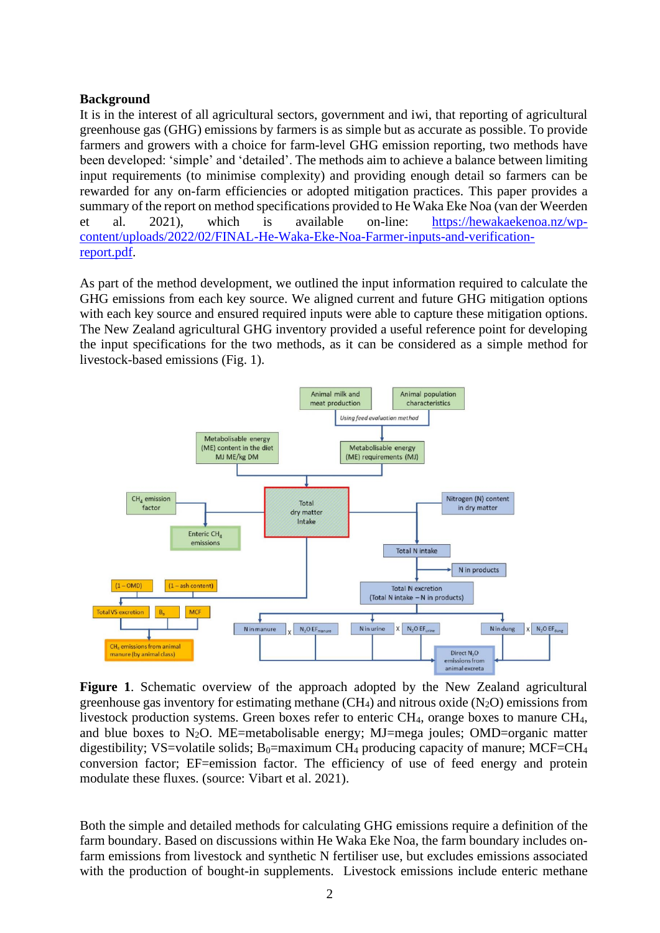## **Background**

It is in the interest of all agricultural sectors, government and iwi, that reporting of agricultural greenhouse gas (GHG) emissions by farmers is as simple but as accurate as possible. To provide farmers and growers with a choice for farm-level GHG emission reporting, two methods have been developed: 'simple' and 'detailed'. The methods aim to achieve a balance between limiting input requirements (to minimise complexity) and providing enough detail so farmers can be rewarded for any on-farm efficiencies or adopted mitigation practices. This paper provides a summary of the report on method specifications provided to He Waka Eke Noa (van der Weerden et al. 2021), which is available on-line: [https://hewakaekenoa.nz/wp](https://hewakaekenoa.nz/wp-content/uploads/2022/02/FINAL-He-Waka-Eke-Noa-Farmer-inputs-and-verification-report.pdf)[content/uploads/2022/02/FINAL-He-Waka-Eke-Noa-Farmer-inputs-and-verification](https://hewakaekenoa.nz/wp-content/uploads/2022/02/FINAL-He-Waka-Eke-Noa-Farmer-inputs-and-verification-report.pdf)[report.pdf.](https://hewakaekenoa.nz/wp-content/uploads/2022/02/FINAL-He-Waka-Eke-Noa-Farmer-inputs-and-verification-report.pdf)

As part of the method development, we outlined the input information required to calculate the GHG emissions from each key source. We aligned current and future GHG mitigation options with each key source and ensured required inputs were able to capture these mitigation options. The New Zealand agricultural GHG inventory provided a useful reference point for developing the input specifications for the two methods, as it can be considered as a simple method for livestock-based emissions (Fig. 1).



**Figure 1**. Schematic overview of the approach adopted by the New Zealand agricultural greenhouse gas inventory for estimating methane  $(CH_4)$  and nitrous oxide  $(N_2O)$  emissions from livestock production systems. Green boxes refer to enteric CH4, orange boxes to manure CH4, and blue boxes to  $N_2O$ . ME=metabolisable energy; MJ=mega joules; OMD=organic matter digestibility; VS=volatile solids;  $B_0$ =maximum CH<sub>4</sub> producing capacity of manure; MCF=CH<sub>4</sub> conversion factor; EF=emission factor. The efficiency of use of feed energy and protein modulate these fluxes. (source: Vibart et al. 2021).

Both the simple and detailed methods for calculating GHG emissions require a definition of the farm boundary. Based on discussions within He Waka Eke Noa, the farm boundary includes onfarm emissions from livestock and synthetic N fertiliser use, but excludes emissions associated with the production of bought-in supplements. Livestock emissions include enteric methane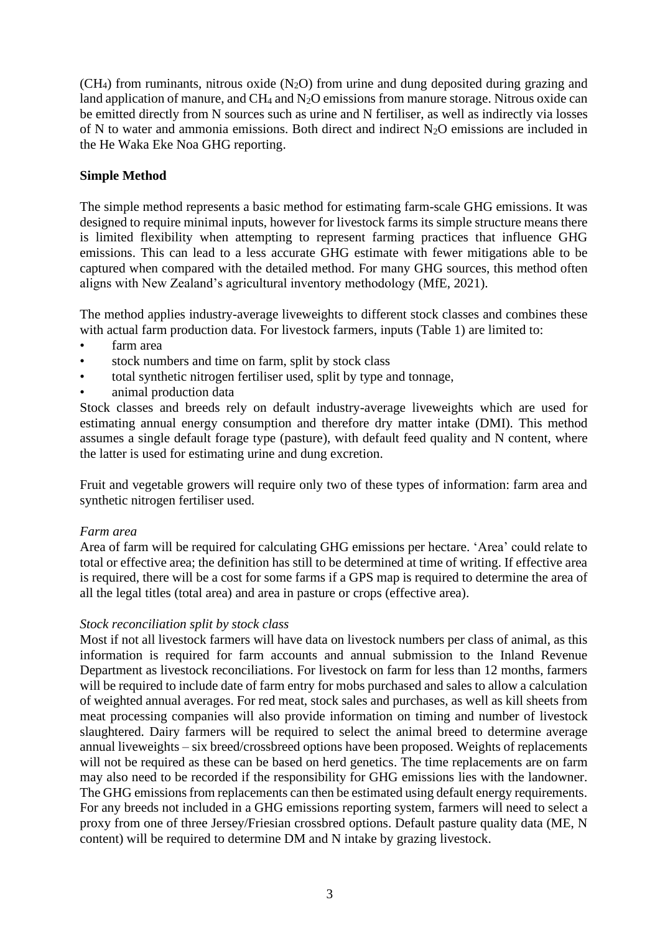$(CH<sub>4</sub>)$  from ruminants, nitrous oxide  $(N<sub>2</sub>O)$  from urine and dung deposited during grazing and land application of manure, and  $CH_4$  and  $N_2O$  emissions from manure storage. Nitrous oxide can be emitted directly from N sources such as urine and N fertiliser, as well as indirectly via losses of N to water and ammonia emissions. Both direct and indirect N2O emissions are included in the He Waka Eke Noa GHG reporting.

# **Simple Method**

The simple method represents a basic method for estimating farm-scale GHG emissions. It was designed to require minimal inputs, however for livestock farms its simple structure means there is limited flexibility when attempting to represent farming practices that influence GHG emissions. This can lead to a less accurate GHG estimate with fewer mitigations able to be captured when compared with the detailed method. For many GHG sources, this method often aligns with New Zealand's agricultural inventory methodology (MfE, 2021).

The method applies industry-average liveweights to different stock classes and combines these with actual farm production data. For livestock farmers, inputs (Table 1) are limited to:

- farm area
- stock numbers and time on farm, split by stock class
- total synthetic nitrogen fertiliser used, split by type and tonnage,
- animal production data

Stock classes and breeds rely on default industry-average liveweights which are used for estimating annual energy consumption and therefore dry matter intake (DMI). This method assumes a single default forage type (pasture), with default feed quality and N content, where the latter is used for estimating urine and dung excretion.

Fruit and vegetable growers will require only two of these types of information: farm area and synthetic nitrogen fertiliser used.

#### *Farm area*

Area of farm will be required for calculating GHG emissions per hectare. 'Area' could relate to total or effective area; the definition has still to be determined at time of writing. If effective area is required, there will be a cost for some farms if a GPS map is required to determine the area of all the legal titles (total area) and area in pasture or crops (effective area).

#### *Stock reconciliation split by stock class*

Most if not all livestock farmers will have data on livestock numbers per class of animal, as this information is required for farm accounts and annual submission to the Inland Revenue Department as livestock reconciliations. For livestock on farm for less than 12 months, farmers will be required to include date of farm entry for mobs purchased and sales to allow a calculation of weighted annual averages. For red meat, stock sales and purchases, as well as kill sheets from meat processing companies will also provide information on timing and number of livestock slaughtered. Dairy farmers will be required to select the animal breed to determine average annual liveweights – six breed/crossbreed options have been proposed. Weights of replacements will not be required as these can be based on herd genetics. The time replacements are on farm may also need to be recorded if the responsibility for GHG emissions lies with the landowner. The GHG emissions from replacements can then be estimated using default energy requirements. For any breeds not included in a GHG emissions reporting system, farmers will need to select a proxy from one of three Jersey/Friesian crossbred options. Default pasture quality data (ME, N content) will be required to determine DM and N intake by grazing livestock.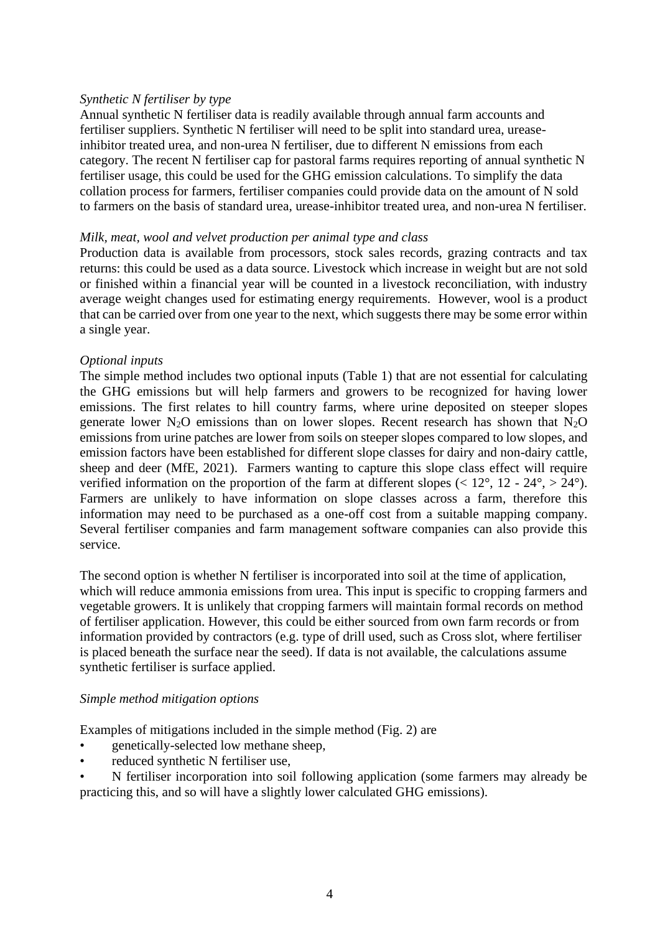#### *Synthetic N fertiliser by type*

Annual synthetic N fertiliser data is readily available through annual farm accounts and fertiliser suppliers. Synthetic N fertiliser will need to be split into standard urea, ureaseinhibitor treated urea, and non-urea N fertiliser, due to different N emissions from each category. The recent N fertiliser cap for pastoral farms requires reporting of annual synthetic N fertiliser usage, this could be used for the GHG emission calculations. To simplify the data collation process for farmers, fertiliser companies could provide data on the amount of N sold to farmers on the basis of standard urea, urease-inhibitor treated urea, and non-urea N fertiliser.

#### *Milk, meat, wool and velvet production per animal type and class*

Production data is available from processors, stock sales records, grazing contracts and tax returns: this could be used as a data source. Livestock which increase in weight but are not sold or finished within a financial year will be counted in a livestock reconciliation, with industry average weight changes used for estimating energy requirements. However, wool is a product that can be carried over from one year to the next, which suggests there may be some error within a single year.

#### *Optional inputs*

The simple method includes two optional inputs (Table 1) that are not essential for calculating the GHG emissions but will help farmers and growers to be recognized for having lower emissions. The first relates to hill country farms, where urine deposited on steeper slopes generate lower  $N_2O$  emissions than on lower slopes. Recent research has shown that  $N_2O$ emissions from urine patches are lower from soils on steeper slopes compared to low slopes, and emission factors have been established for different slope classes for dairy and non-dairy cattle, sheep and deer (MfE, 2021). Farmers wanting to capture this slope class effect will require verified information on the proportion of the farm at different slopes ( $\langle 12^{\circ}, 12 - 24^{\circ}, \rangle$  24°). Farmers are unlikely to have information on slope classes across a farm, therefore this information may need to be purchased as a one-off cost from a suitable mapping company. Several fertiliser companies and farm management software companies can also provide this service.

The second option is whether N fertiliser is incorporated into soil at the time of application, which will reduce ammonia emissions from urea. This input is specific to cropping farmers and vegetable growers. It is unlikely that cropping farmers will maintain formal records on method of fertiliser application. However, this could be either sourced from own farm records or from information provided by contractors (e.g. type of drill used, such as Cross slot, where fertiliser is placed beneath the surface near the seed). If data is not available, the calculations assume synthetic fertiliser is surface applied.

#### *Simple method mitigation options*

Examples of mitigations included in the simple method (Fig. 2) are

- genetically-selected low methane sheep,
- reduced synthetic N fertiliser use,
- N fertiliser incorporation into soil following application (some farmers may already be practicing this, and so will have a slightly lower calculated GHG emissions).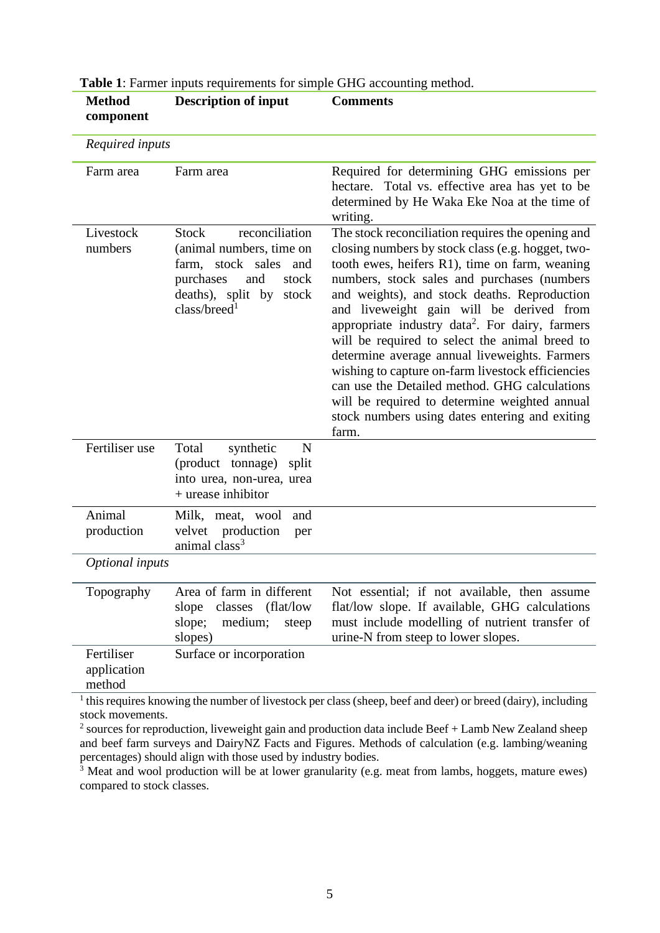| component                           |                                                                                                                                                                               |                                                                                                                                                                                                                                                                                                                                                                                                                                                                                                                                                                                                                                                                                         |
|-------------------------------------|-------------------------------------------------------------------------------------------------------------------------------------------------------------------------------|-----------------------------------------------------------------------------------------------------------------------------------------------------------------------------------------------------------------------------------------------------------------------------------------------------------------------------------------------------------------------------------------------------------------------------------------------------------------------------------------------------------------------------------------------------------------------------------------------------------------------------------------------------------------------------------------|
| Required inputs                     |                                                                                                                                                                               |                                                                                                                                                                                                                                                                                                                                                                                                                                                                                                                                                                                                                                                                                         |
| Farm area                           | Farm area                                                                                                                                                                     | Required for determining GHG emissions per<br>hectare. Total vs. effective area has yet to be<br>determined by He Waka Eke Noa at the time of<br>writing.                                                                                                                                                                                                                                                                                                                                                                                                                                                                                                                               |
| Livestock<br>numbers                | <b>Stock</b><br>reconciliation<br>(animal numbers, time on<br>farm, stock sales<br>and<br>purchases<br>and<br>stock<br>deaths), split by<br>stock<br>class/breed <sup>1</sup> | The stock reconciliation requires the opening and<br>closing numbers by stock class (e.g. hogget, two-<br>tooth ewes, heifers R1), time on farm, weaning<br>numbers, stock sales and purchases (numbers<br>and weights), and stock deaths. Reproduction<br>and liveweight gain will be derived from<br>appropriate industry data <sup>2</sup> . For dairy, farmers<br>will be required to select the animal breed to<br>determine average annual liveweights. Farmers<br>wishing to capture on-farm livestock efficiencies<br>can use the Detailed method. GHG calculations<br>will be required to determine weighted annual<br>stock numbers using dates entering and exiting<br>farm. |
| Fertiliser use                      | Total<br>synthetic<br>N<br>split<br>(product tonnage)<br>into urea, non-urea, urea<br>+ urease inhibitor                                                                      |                                                                                                                                                                                                                                                                                                                                                                                                                                                                                                                                                                                                                                                                                         |
| Animal<br>production                | Milk, meat, wool<br>and<br>velvet production<br>per<br>animal class <sup>3</sup>                                                                                              |                                                                                                                                                                                                                                                                                                                                                                                                                                                                                                                                                                                                                                                                                         |
| Optional inputs                     |                                                                                                                                                                               |                                                                                                                                                                                                                                                                                                                                                                                                                                                                                                                                                                                                                                                                                         |
| Topography                          | Area of farm in different<br>slope classes (flat/low<br>medium;<br>slope;<br>steep<br>slopes)                                                                                 | Not essential; if not available, then assume<br>flat/low slope. If available, GHG calculations<br>must include modelling of nutrient transfer of<br>urine-N from steep to lower slopes.                                                                                                                                                                                                                                                                                                                                                                                                                                                                                                 |
| Fertiliser<br>application<br>method | Surface or incorporation                                                                                                                                                      | $\frac{1}{1}$ this requires knowing the number of livestock per class (sheep, beef and deer) or breed (dairy), including                                                                                                                                                                                                                                                                                                                                                                                                                                                                                                                                                                |

**Table 1**: Farmer inputs requirements for simple GHG accounting method.

**Description of input Comments**

**Method** 

quires knowing the number of livestock per class (sheep, beef and deer) or breed (dairy), including stock movements.

<sup>2</sup> sources for reproduction, liveweight gain and production data include Beef  $+$  Lamb New Zealand sheep and beef farm surveys and DairyNZ Facts and Figures. Methods of calculation (e.g. lambing/weaning percentages) should align with those used by industry bodies.

 $\frac{3}{3}$  Meat and wool production will be at lower granularity (e.g. meat from lambs, hoggets, mature ewes) compared to stock classes.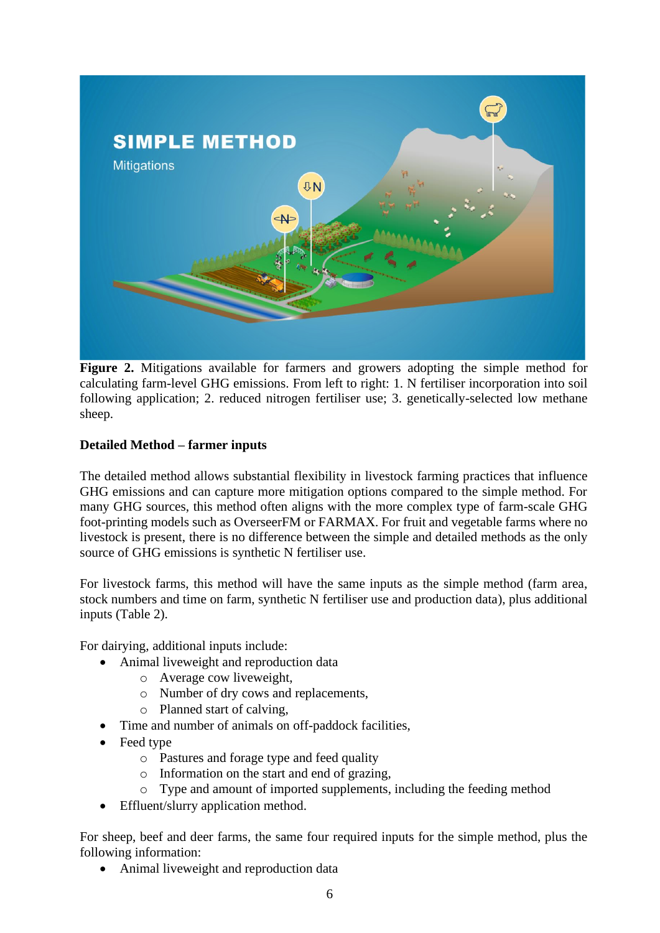

**Figure 2.** Mitigations available for farmers and growers adopting the simple method for calculating farm-level GHG emissions. From left to right: 1. N fertiliser incorporation into soil following application; 2. reduced nitrogen fertiliser use; 3. genetically-selected low methane sheep.

# **Detailed Method – farmer inputs**

The detailed method allows substantial flexibility in livestock farming practices that influence GHG emissions and can capture more mitigation options compared to the simple method. For many GHG sources, this method often aligns with the more complex type of farm-scale GHG foot-printing models such as OverseerFM or FARMAX. For fruit and vegetable farms where no livestock is present, there is no difference between the simple and detailed methods as the only source of GHG emissions is synthetic N fertiliser use.

For livestock farms, this method will have the same inputs as the simple method (farm area, stock numbers and time on farm, synthetic N fertiliser use and production data), plus additional inputs (Table 2).

For dairying, additional inputs include:

- Animal liveweight and reproduction data
	- o Average cow liveweight,
	- o Number of dry cows and replacements,
	- o Planned start of calving,
- Time and number of animals on off-paddock facilities,
- Feed type
	- o Pastures and forage type and feed quality
	- o Information on the start and end of grazing,
	- o Type and amount of imported supplements, including the feeding method
- Effluent/slurry application method.

For sheep, beef and deer farms, the same four required inputs for the simple method, plus the following information:

• Animal liveweight and reproduction data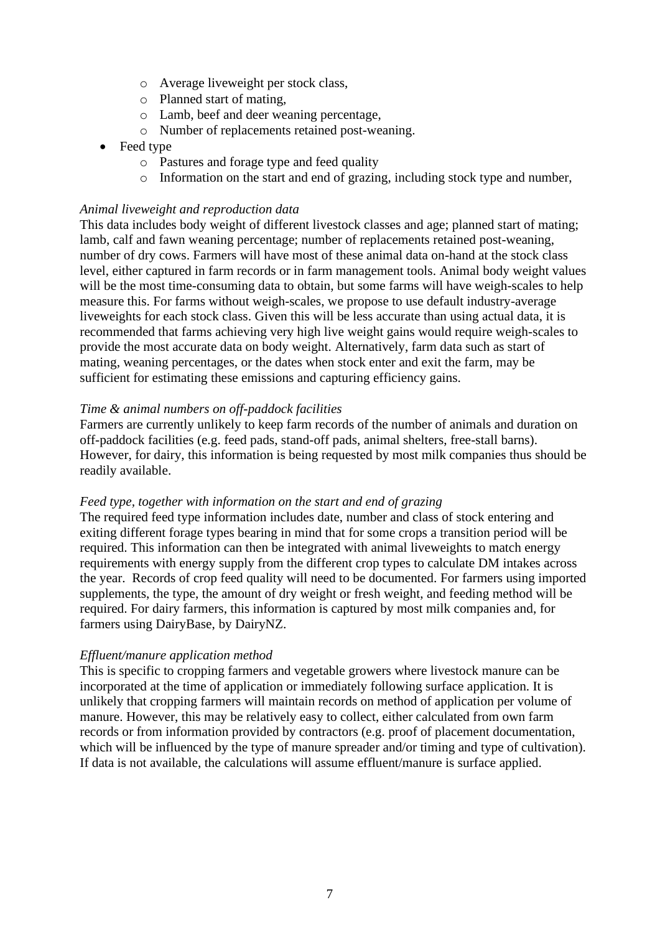- o Average liveweight per stock class,
- o Planned start of mating,
- o Lamb, beef and deer weaning percentage,
- o Number of replacements retained post-weaning.
- Feed type
	- o Pastures and forage type and feed quality
	- o Information on the start and end of grazing, including stock type and number,

## *Animal liveweight and reproduction data*

This data includes body weight of different livestock classes and age; planned start of mating; lamb, calf and fawn weaning percentage; number of replacements retained post-weaning, number of dry cows. Farmers will have most of these animal data on-hand at the stock class level, either captured in farm records or in farm management tools. Animal body weight values will be the most time-consuming data to obtain, but some farms will have weigh-scales to help measure this. For farms without weigh-scales, we propose to use default industry-average liveweights for each stock class. Given this will be less accurate than using actual data, it is recommended that farms achieving very high live weight gains would require weigh-scales to provide the most accurate data on body weight. Alternatively, farm data such as start of mating, weaning percentages, or the dates when stock enter and exit the farm, may be sufficient for estimating these emissions and capturing efficiency gains.

## *Time & animal numbers on off-paddock facilities*

Farmers are currently unlikely to keep farm records of the number of animals and duration on off-paddock facilities (e.g. feed pads, stand-off pads, animal shelters, free-stall barns). However, for dairy, this information is being requested by most milk companies thus should be readily available.

#### *Feed type, together with information on the start and end of grazing*

The required feed type information includes date, number and class of stock entering and exiting different forage types bearing in mind that for some crops a transition period will be required. This information can then be integrated with animal liveweights to match energy requirements with energy supply from the different crop types to calculate DM intakes across the year. Records of crop feed quality will need to be documented. For farmers using imported supplements, the type, the amount of dry weight or fresh weight, and feeding method will be required. For dairy farmers, this information is captured by most milk companies and, for farmers using DairyBase, by DairyNZ.

#### *Effluent/manure application method*

This is specific to cropping farmers and vegetable growers where livestock manure can be incorporated at the time of application or immediately following surface application. It is unlikely that cropping farmers will maintain records on method of application per volume of manure. However, this may be relatively easy to collect, either calculated from own farm records or from information provided by contractors (e.g. proof of placement documentation, which will be influenced by the type of manure spreader and/or timing and type of cultivation). If data is not available, the calculations will assume effluent/manure is surface applied.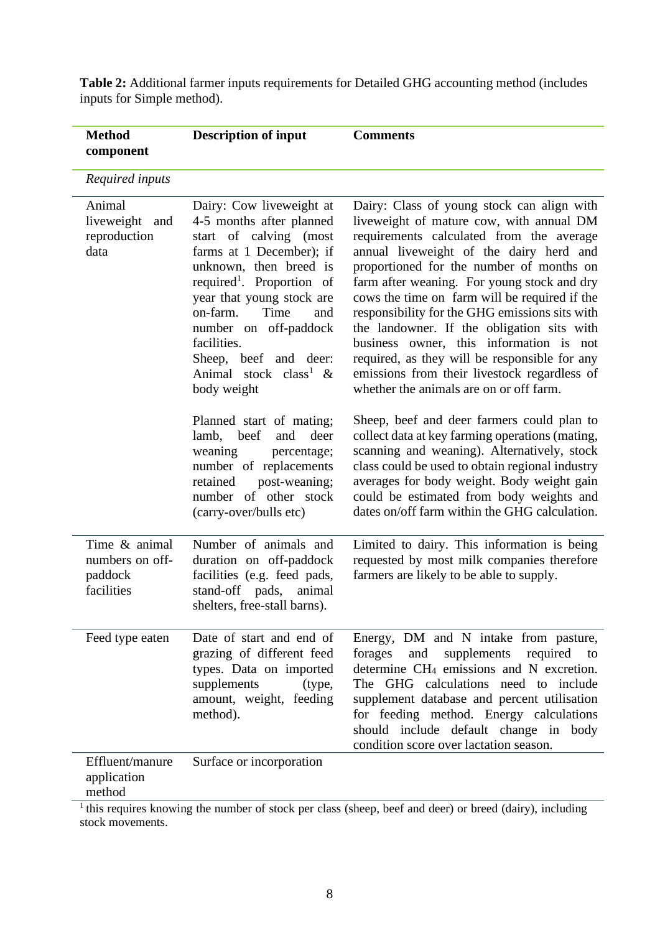| <b>Method</b><br>component                                | <b>Description of input</b>                                                                                                                                                                                                                                                                                                                                | <b>Comments</b>                                                                                                                                                                                                                                                                                                                                                                                                                                                                                                                                                                                                  |
|-----------------------------------------------------------|------------------------------------------------------------------------------------------------------------------------------------------------------------------------------------------------------------------------------------------------------------------------------------------------------------------------------------------------------------|------------------------------------------------------------------------------------------------------------------------------------------------------------------------------------------------------------------------------------------------------------------------------------------------------------------------------------------------------------------------------------------------------------------------------------------------------------------------------------------------------------------------------------------------------------------------------------------------------------------|
| Required inputs                                           |                                                                                                                                                                                                                                                                                                                                                            |                                                                                                                                                                                                                                                                                                                                                                                                                                                                                                                                                                                                                  |
| Animal<br>liveweight and<br>reproduction<br>data          | Dairy: Cow liveweight at<br>4-5 months after planned<br>start of calving (most<br>farms at 1 December); if<br>unknown, then breed is<br>required <sup>1</sup> . Proportion of<br>year that young stock are<br>on-farm.<br>Time<br>and<br>number on off-paddock<br>facilities.<br>Sheep, beef and deer:<br>Animal stock class <sup>1</sup> &<br>body weight | Dairy: Class of young stock can align with<br>liveweight of mature cow, with annual DM<br>requirements calculated from the average<br>annual liveweight of the dairy herd and<br>proportioned for the number of months on<br>farm after weaning. For young stock and dry<br>cows the time on farm will be required if the<br>responsibility for the GHG emissions sits with<br>the landowner. If the obligation sits with<br>business owner, this information is not<br>required, as they will be responsible for any<br>emissions from their livestock regardless of<br>whether the animals are on or off farm. |
|                                                           | Planned start of mating;<br>lamb, beef<br>and<br>deer<br>weaning<br>percentage;<br>number of replacements<br>post-weaning;<br>retained<br>number of other stock<br>(carry-over/bulls etc)                                                                                                                                                                  | Sheep, beef and deer farmers could plan to<br>collect data at key farming operations (mating,<br>scanning and weaning). Alternatively, stock<br>class could be used to obtain regional industry<br>averages for body weight. Body weight gain<br>could be estimated from body weights and<br>dates on/off farm within the GHG calculation.                                                                                                                                                                                                                                                                       |
| Time & animal<br>numbers on off-<br>paddock<br>facilities | Number of animals and<br>duration on off-paddock<br>facilities (e.g. feed pads,<br>stand-off pads,<br>animal<br>shelters, free-stall barns).                                                                                                                                                                                                               | Limited to dairy. This information is being<br>requested by most milk companies therefore<br>farmers are likely to be able to supply.                                                                                                                                                                                                                                                                                                                                                                                                                                                                            |
| Feed type eaten                                           | Date of start and end of<br>grazing of different feed<br>types. Data on imported<br>supplements<br>(type,<br>amount, weight, feeding<br>method).                                                                                                                                                                                                           | Energy, DM and N intake from pasture,<br>forages<br>supplements<br>required<br>and<br>to<br>determine CH <sub>4</sub> emissions and N excretion.<br>The GHG calculations need to include<br>supplement database and percent utilisation<br>for feeding method. Energy calculations<br>should include default change in body<br>condition score over lactation season.                                                                                                                                                                                                                                            |
| Effluent/manure<br>application<br>method                  | Surface or incorporation                                                                                                                                                                                                                                                                                                                                   |                                                                                                                                                                                                                                                                                                                                                                                                                                                                                                                                                                                                                  |

**Table 2:** Additional farmer inputs requirements for Detailed GHG accounting method (includes inputs for Simple method).

 $1$ <sup>1</sup> this requires knowing the number of stock per class (sheep, beef and deer) or breed (dairy), including stock movements.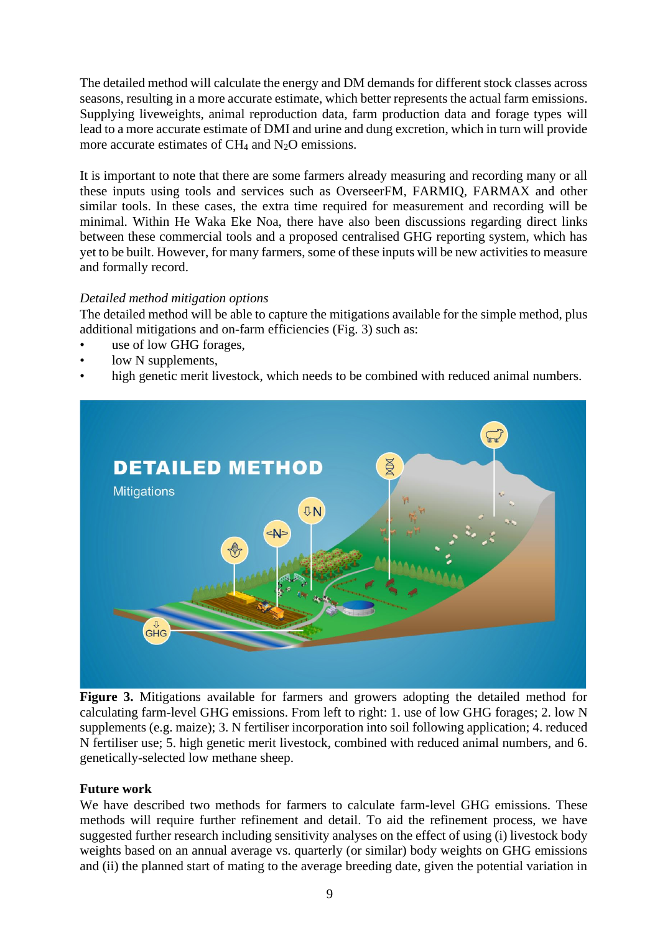The detailed method will calculate the energy and DM demands for different stock classes across seasons, resulting in a more accurate estimate, which better represents the actual farm emissions. Supplying liveweights, animal reproduction data, farm production data and forage types will lead to a more accurate estimate of DMI and urine and dung excretion, which in turn will provide more accurate estimates of  $CH_4$  and  $N_2O$  emissions.

It is important to note that there are some farmers already measuring and recording many or all these inputs using tools and services such as OverseerFM, FARMIQ, FARMAX and other similar tools. In these cases, the extra time required for measurement and recording will be minimal. Within He Waka Eke Noa, there have also been discussions regarding direct links between these commercial tools and a proposed centralised GHG reporting system, which has yet to be built. However, for many farmers, some of these inputs will be new activities to measure and formally record.

# *Detailed method mitigation options*

The detailed method will be able to capture the mitigations available for the simple method, plus additional mitigations and on-farm efficiencies (Fig. 3) such as:

- use of low GHG forages,
- low N supplements,
- high genetic merit livestock, which needs to be combined with reduced animal numbers.



**Figure 3.** Mitigations available for farmers and growers adopting the detailed method for calculating farm-level GHG emissions. From left to right: 1. use of low GHG forages; 2. low N supplements (e.g. maize); 3. N fertiliser incorporation into soil following application; 4. reduced N fertiliser use; 5. high genetic merit livestock, combined with reduced animal numbers, and 6. genetically-selected low methane sheep.

# **Future work**

We have described two methods for farmers to calculate farm-level GHG emissions. These methods will require further refinement and detail. To aid the refinement process, we have suggested further research including sensitivity analyses on the effect of using (i) livestock body weights based on an annual average vs. quarterly (or similar) body weights on GHG emissions and (ii) the planned start of mating to the average breeding date, given the potential variation in